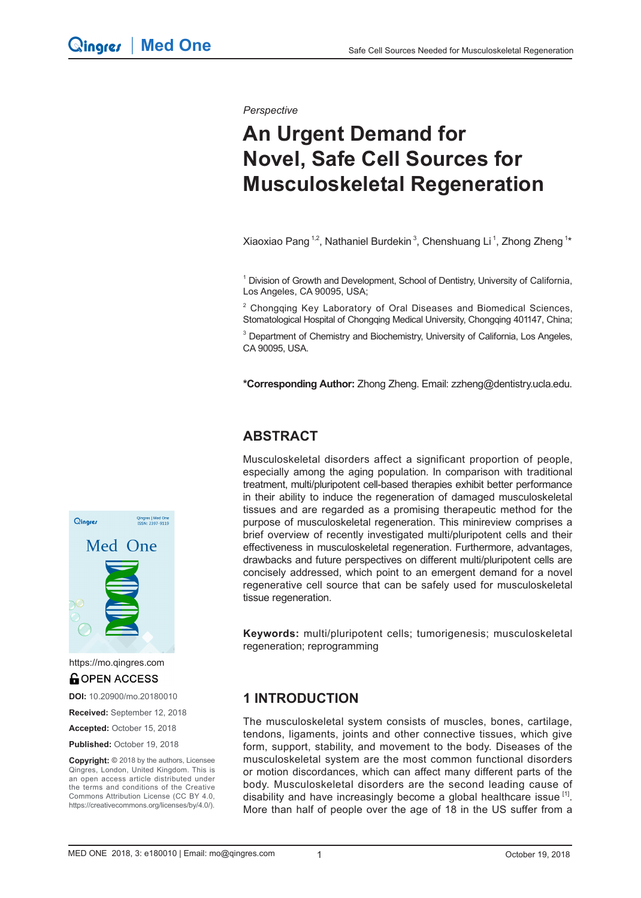*Perspective*

# **An Urgent Demand for Novel, Safe Cell Sources for Musculoskeletal Regeneration**

Xiaoxiao Pang <sup>1,2</sup>, Nathaniel Burdekin<sup>3</sup>, Chenshuang Li<sup>1</sup>, Zhong Zheng <sup>1\*</sup>

<sup>1</sup> Division of Growth and Development, School of Dentistry, University of California, Los Angeles, CA 90095, USA;

2 Chongqing Key Laboratory of Oral Diseases and Biomedical Sciences, Stomatological Hospital of Chongqing Medical University, Chongqing 401147, China;

<sup>3</sup> Department of Chemistry and Biochemistry, University of California, Los Angeles, CA 90095, USA.

**\*Corresponding Author:** Zhong Zheng. Email: zzheng@dentistry.ucla.edu.

#### **ABSTRACT**

Musculoskeletal disorders affect a significant proportion of people, especially among the aging population. In comparison with traditional treatment, multi/pluripotent cell-based therapies exhibit better performance in their ability to induce the regeneration of damaged musculoskeletal tissues and are regarded as a promising therapeutic method for the purpose of musculoskeletal regeneration. This minireview comprises a brief overview of recently investigated multi/pluripotent cells and their effectiveness in musculoskeletal regeneration. Furthermore, advantages, drawbacks and future perspectives on different multi/pluripotent cells are concisely addressed, which point to an emergent demand for a novel regenerative cell source that can be safely used for musculoskeletal tissue regeneration.

**Keywords:** multi/pluripotent cells; tumorigenesis; musculoskeletal regeneration; reprogramming

#### **1 INTRODUCTION**

The musculoskeletal system consists of muscles, bones, cartilage, tendons, ligaments, joints and other connective tissues, which give form, support, stability, and movement to the body. Diseases of the musculoskeletal system are the most common functional disorders or motion discordances, which can affect many different parts of the body. Musculoskeletal disorders are the second leading cause of disability and have increasingly become a global healthcare issue<sup>[1]</sup>. More than half of people over the age of 18 in the US suffer from a



https://mo.qingres.com**GOPEN ACCESS** 

**DOI:** 10.20900/mo.20180010

**Received:** September 12, 2018

**Accepted:** October 15, 2018

Published: October 19, 2018

**Copyright: ©** 2018 by the authors, Licensee Qingres, London, United Kingdom. This is an open access article distributed under the terms and conditions of the Creative Commons Attribution License (CC BY 4.0, https://creativecommons.org/licenses/by/4.0/).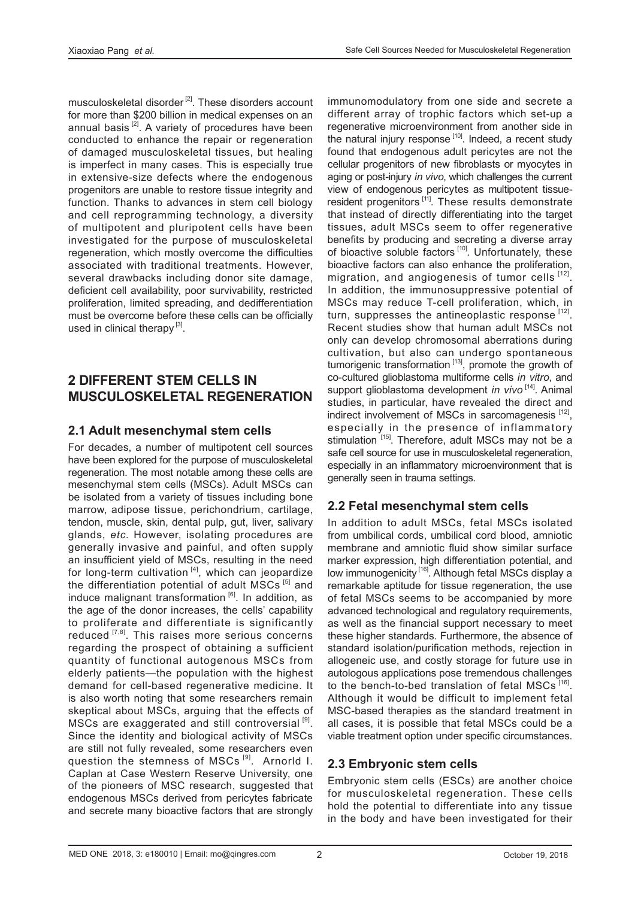musculoskeletal disorder  $[2]$ . These disorders account for more than \$200 billion in medical expenses on an annual basis  $[2]$ . A variety of procedures have been conducted to enhance the repair or regeneration of damaged musculoskeletal tissues, but healing is imperfect in many cases. This is especially true in extensive-size defects where the endogenous progenitors are unable to restore tissue integrity and function. Thanks to advances in stem cell biology and cell reprogramming technology, a diversity of multipotent and pluripotent cells have been investigated for the purpose of musculoskeletal regeneration, which mostly overcome the difficulties associated with traditional treatments. However, several drawbacks including donor site damage, deficient cell availability, poor survivability, restricted proliferation, limited spreading, and dedifferentiation must be overcome before these cells can be officially used in clinical therapy<sup>[3]</sup>.

## **2 DIFFERENT STEM CELLS IN MUSCULOSKELETAL REGENERATION**

#### **2.1 Adult mesenchymal stem cells**

For decades, a number of multipotent cell sources have been explored for the purpose of musculoskeletal regeneration. The most notable among these cells are mesenchymal stem cells (MSCs). Adult MSCs can be isolated from a variety of tissues including bone marrow, adipose tissue, perichondrium, cartilage, tendon, muscle, skin, dental pulp, gut, liver, salivary glands, *etc.* However, isolating procedures are generally invasive and painful, and often supply an insufficient yield of MSCs, resulting in the need for long-term cultivation  $[4]$ , which can jeopardize the differentiation potential of adult MSCs<sup>[5]</sup> and induce malignant transformation [6]. In addition, as the age of the donor increases, the cells' capability to proliferate and differentiate is significantly reduced <a>[7,8]</a>. This raises more serious concerns regarding the prospect of obtaining a sufficient quantity of functional autogenous MSCs from elderly patients—the population with the highest demand for cell-based regenerative medicine. It is also worth noting that some researchers remain skeptical about MSCs, arguing that the effects of MSCs are exaggerated and still controversial<sup>[9]</sup>. Since the identity and biological activity of MSCs are still not fully revealed, some researchers even question the stemness of MSCs<sup>[9]</sup>. Arnorld I. Caplan at Case Western Reserve University, one of the pioneers of MSC research, suggested that endogenous MSCs derived from pericytes fabricate and secrete many bioactive factors that are strongly

immunomodulatory from one side and secrete a different array of trophic factors which set-up a regenerative microenvironment from another side in the natural injury response  $[10]$ . Indeed, a recent study found that endogenous adult pericytes are not the cellular progenitors of new fibroblasts or myocytes in aging or post-injury *in vivo*, which challenges the current view of endogenous pericytes as multipotent tissueresident progenitors<sup>[11]</sup>. These results demonstrate that instead of directly differentiating into the target tissues, adult MSCs seem to offer regenerative benefits by producing and secreting a diverse array of bioactive soluble factors<sup>[10]</sup>. Unfortunately, these bioactive factors can also enhance the proliferation, migration, and angiogenesis of tumor cells [12]. In addition, the immunosuppressive potential of MSCs may reduce T-cell proliferation, which, in turn, suppresses the antineoplastic response [12]. Recent studies show that human adult MSCs not only can develop chromosomal aberrations during cultivation, but also can undergo spontaneous tumorigenic transformation [13], promote the growth of co-cultured glioblastoma multiforme cells *in vitro*, and support glioblastoma development *in vivo*<sup>[14]</sup>. Animal studies, in particular, have revealed the direct and indirect involvement of MSCs in sarcomagenesis [12], especially in the presence of inflammatory stimulation [15]. Therefore, adult MSCs may not be a safe cell source for use in musculoskeletal regeneration, especially in an inflammatory microenvironment that is generally seen in trauma settings.

## **2.2 Fetal mesenchymal stem cells**

In addition to adult MSCs, fetal MSCs isolated from umbilical cords, umbilical cord blood, amniotic membrane and amniotic fluid show similar surface marker expression, high differentiation potential, and low immunogenicity <a>[16]</a>. Although fetal MSCs display a remarkable aptitude for tissue regeneration, the use of fetal MSCs seems to be accompanied by more advanced technological and regulatory requirements, as well as the financial support necessary to meet these higher standards. Furthermore, the absence of standard isolation/purification methods, rejection in allogeneic use, and costly storage for future use in autologous applications pose tremendous challenges to the bench-to-bed translation of fetal MSCs  $1^{16}$ . Although it would be difficult to implement fetal MSC-based therapies as the standard treatment in all cases, it is possible that fetal MSCs could be a viable treatment option under specific circumstances.

#### **2.3 Embryonic stem cells**

Embryonic stem cells (ESCs) are another choice for musculoskeletal regeneration. These cells hold the potential to differentiate into any tissue in the body and have been investigated for their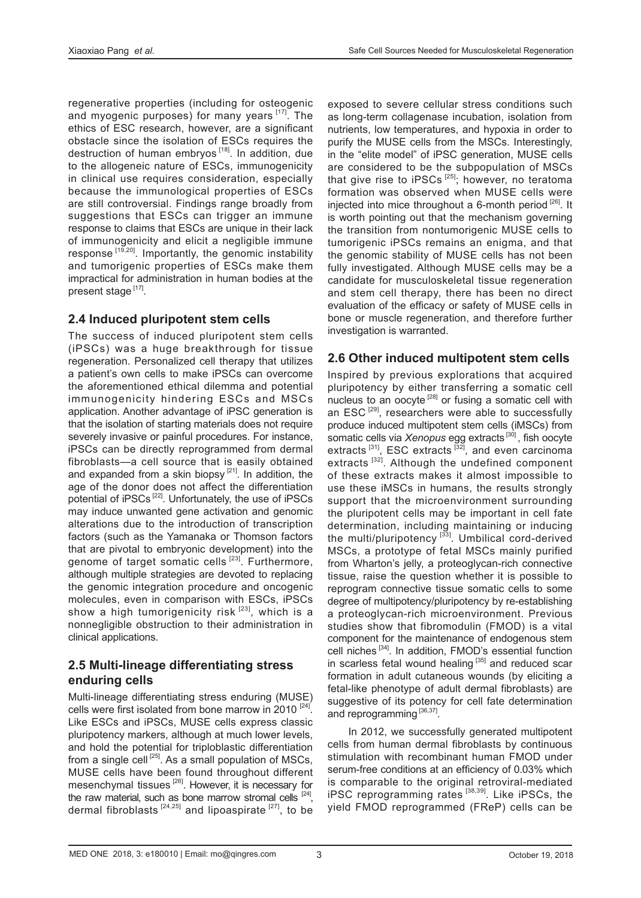regenerative properties (including for osteogenic and myogenic purposes) for many years [17]. The ethics of ESC research, however, are a significant obstacle since the isolation of ESCs requires the destruction of human embryos  $[18]$ . In addition, due to the allogeneic nature of ESCs, immunogenicity in clinical use requires consideration, especially because the immunological properties of ESCs are still controversial. Findings range broadly from suggestions that ESCs can trigger an immune response to claims that ESCs are unique in their lack of immunogenicity and elicit a negligible immune response  $[19,20]$ . Importantly, the genomic instability and tumorigenic properties of ESCs make them impractical for administration in human bodies at the present stage [17].

#### **2.4 Induced pluripotent stem cells**

The success of induced pluripotent stem cells (iPSCs) was a huge breakthrough for tissue regeneration. Personalized cell therapy that utilizes a patient's own cells to make iPSCs can overcome the aforementioned ethical dilemma and potential immunogenicity hindering ESCs and MSCs application. Another advantage of iPSC generation is that the isolation of starting materials does not require severely invasive or painful procedures. For instance, iPSCs can be directly reprogrammed from dermal fibroblasts—a cell source that is easily obtained and expanded from a skin biopsy  $[21]$ . In addition, the age of the donor does not affect the differentiation potential of iPSCs<sup>[22]</sup>. Unfortunately, the use of iPSCs may induce unwanted gene activation and genomic alterations due to the introduction of transcription factors (such as the Yamanaka or Thomson factors that are pivotal to embryonic development) into the genome of target somatic cells<sup>[23]</sup>. Furthermore, although multiple strategies are devoted to replacing the genomic integration procedure and oncogenic molecules, even in comparison with ESCs, iPSCs show a high tumorigenicity risk  $[23]$ , which is a nonnegligible obstruction to their administration in clinical applications.

#### **2.5 Multi-lineage differentiating stress enduring cells**

Multi-lineage differentiating stress enduring (MUSE) cells were first isolated from bone marrow in 2010  $^{[24]}$ . Like ESCs and iPSCs, MUSE cells express classic pluripotency markers, although at much lower levels, and hold the potential for triploblastic differentiation from a single cell  $^{[25]}$ . As a small population of MSCs, MUSE cells have been found throughout different mesenchymal tissues<sup>[26]</sup>. However, it is necessary for the raw material, such as bone marrow stromal cells  $[24]$ , dermal fibroblasts  $[24,25]$  and lipoaspirate  $[27]$ , to be exposed to severe cellular stress conditions such as long-term collagenase incubation, isolation from nutrients, low temperatures, and hypoxia in order to purify the MUSE cells from the MSCs. Interestingly, in the "elite model" of iPSC generation, MUSE cells are considered to be the subpopulation of MSCs that give rise to iPSCs<sup>[25]</sup>; however, no teratoma formation was observed when MUSE cells were injected into mice throughout a 6-month period  $[26]$ . It is worth pointing out that the mechanism governing the transition from nontumorigenic MUSE cells to tumorigenic iPSCs remains an enigma, and that the genomic stability of MUSE cells has not been fully investigated. Although MUSE cells may be a candidate for musculoskeletal tissue regeneration and stem cell therapy, there has been no direct evaluation of the efficacy or safety of MUSE cells in bone or muscle regeneration, and therefore further investigation is warranted.

#### **2.6 Other induced multipotent stem cells**

Inspired by previous explorations that acquired pluripotency by either transferring a somatic cell nucleus to an oocyte <sup>[28]</sup> or fusing a somatic cell with an ESC<sup>[29]</sup>, researchers were able to successfully produce induced multipotent stem cells (iMSCs) from somatic cells via *Xenopus* egg extracts [30] , fish oocyte extracts  $[31]$ , ESC extracts  $[32]$ , and even carcinoma extracts<sup>[32]</sup>. Although the undefined component of these extracts makes it almost impossible to use these iMSCs in humans, the results strongly support that the microenvironment surrounding the pluripotent cells may be important in cell fate determination, including maintaining or inducing the multi/pluripotency [33]. Umbilical cord-derived MSCs, a prototype of fetal MSCs mainly purified from Wharton's jelly, a proteoglycan-rich connective tissue, raise the question whether it is possible to reprogram connective tissue somatic cells to some degree of multipotency/pluripotency by re-establishing a proteoglycan-rich microenvironment. Previous studies show that fibromodulin (FMOD) is a vital component for the maintenance of endogenous stem cell niches [34]. In addition, FMOD's essential function in scarless fetal wound healing [35] and reduced scar formation in adult cutaneous wounds (by eliciting a fetal-like phenotype of adult dermal fibroblasts) are suggestive of its potency for cell fate determination and reprogramming [36,37]

In 2012, we successfully generated multipotent cells from human dermal fibroblasts by continuous stimulation with recombinant human FMOD under serum-free conditions at an efficiency of 0.03% which is comparable to the original retroviral-mediated iPSC reprogramming rates [38,39]. Like iPSCs, the yield FMOD reprogrammed (FReP) cells can be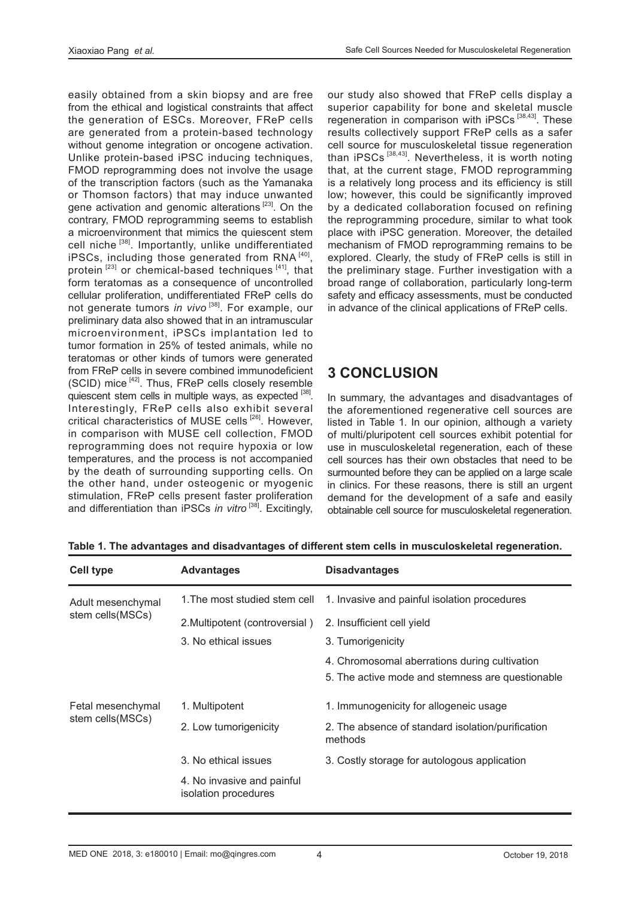easily obtained from a skin biopsy and are free from the ethical and logistical constraints that affect the generation of ESCs. Moreover, FReP cells are generated from a protein-based technology without genome integration or oncogene activation. Unlike protein-based iPSC inducing techniques, FMOD reprogramming does not involve the usage of the transcription factors (such as the Yamanaka or Thomson factors) that may induce unwanted gene activation and genomic alterations<sup>[23]</sup>. On the contrary, FMOD reprogramming seems to establish a microenvironment that mimics the quiescent stem cell niche [38]. Importantly, unlike undifferentiated iPSCs, including those generated from RNA [40]. protein  $[23]$  or chemical-based techniques  $[41]$ , that form teratomas as a consequence of uncontrolled cellular proliferation, undifferentiated FReP cells do not generate tumors *in vivo*<sup>[38]</sup>. For example, our preliminary data also showed that in an intramuscular microenvironment, iPSCs implantation led to tumor formation in 25% of tested animals, while no teratomas or other kinds of tumors were generated from FReP cells in severe combined immunodeficient (SCID) mice [42]. Thus, FReP cells closely resemble quiescent stem cells in multiple ways, as expected [38]. Interestingly, FReP cells also exhibit several critical characteristics of MUSE cells<sup>[26]</sup>. However, in comparison with MUSE cell collection, FMOD reprogramming does not require hypoxia or low temperatures, and the process is not accompanied by the death of surrounding supporting cells. On the other hand, under osteogenic or myogenic stimulation, FReP cells present faster proliferation and differentiation than iPSCs *in vitro* [38]. Excitingly,

our study also showed that FReP cells display a superior capability for bone and skeletal muscle regeneration in comparison with iPSCs<sup>[38,43]</sup>. These results collectively support FReP cells as a safer cell source for musculoskeletal tissue regeneration than iPSCs<sup>[38,43]</sup>. Nevertheless, it is worth noting that, at the current stage, FMOD reprogramming is a relatively long process and its efficiency is still low; however, this could be significantly improved by a dedicated collaboration focused on refining the reprogramming procedure, similar to what took place with iPSC generation. Moreover, the detailed mechanism of FMOD reprogramming remains to be explored. Clearly, the study of FReP cells is still in the preliminary stage. Further investigation with a broad range of collaboration, particularly long-term safety and efficacy assessments, must be conducted in advance of the clinical applications of FReP cells.

# **3 CONCLUSION**

In summary, the advantages and disadvantages of the aforementioned regenerative cell sources are listed in Table 1. In our opinion, although a variety of multi/pluripotent cell sources exhibit potential for use in musculoskeletal regeneration, each of these cell sources has their own obstacles that need to be surmounted before they can be applied on a large scale in clinics. For these reasons, there is still an urgent demand for the development of a safe and easily obtainable cell source for musculoskeletal regeneration.

| <b>Cell type</b>                       | <b>Advantages</b>                                  | <b>Disadvantages</b>                                         |
|----------------------------------------|----------------------------------------------------|--------------------------------------------------------------|
| Adult mesenchymal<br>stem cells (MSCs) | 1. The most studied stem cell                      | 1. Invasive and painful isolation procedures                 |
|                                        | 2. Multipotent (controversial)                     | 2. Insufficient cell yield                                   |
|                                        | 3. No ethical issues                               | 3. Tumorigenicity                                            |
|                                        |                                                    | 4. Chromosomal aberrations during cultivation                |
|                                        |                                                    | 5. The active mode and stemness are questionable             |
| Fetal mesenchymal<br>stem cells (MSCs) | 1. Multipotent                                     | 1. Immunogenicity for allogeneic usage                       |
|                                        | 2. Low tumorigenicity                              | 2. The absence of standard isolation/purification<br>methods |
|                                        | 3. No ethical issues                               | 3. Costly storage for autologous application                 |
|                                        | 4. No invasive and painful<br>isolation procedures |                                                              |

**Table 1. The advantages and disadvantages of different stem cells in musculoskeletal regeneration.**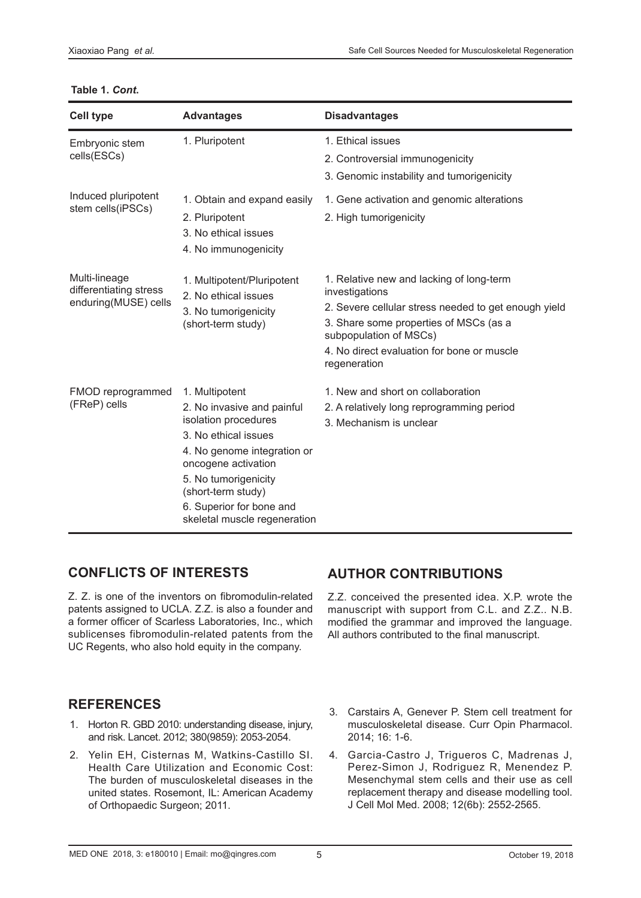#### **Table 1.** *Cont***.**

| <b>Cell type</b>                                                | <b>Advantages</b>                                                                                                                                                                                                                                            | <b>Disadvantages</b>                                                                                                                                                                                                                                 |
|-----------------------------------------------------------------|--------------------------------------------------------------------------------------------------------------------------------------------------------------------------------------------------------------------------------------------------------------|------------------------------------------------------------------------------------------------------------------------------------------------------------------------------------------------------------------------------------------------------|
| Embryonic stem<br>cells(ESCs)                                   | 1. Pluripotent                                                                                                                                                                                                                                               | 1. Ethical issues<br>2. Controversial immunogenicity<br>3. Genomic instability and tumorigenicity                                                                                                                                                    |
| Induced pluripotent<br>stem cells(iPSCs)                        | 1. Obtain and expand easily<br>2. Pluripotent<br>3. No ethical issues<br>4. No immunogenicity                                                                                                                                                                | 1. Gene activation and genomic alterations<br>2. High tumorigenicity                                                                                                                                                                                 |
| Multi-lineage<br>differentiating stress<br>enduring(MUSE) cells | 1. Multipotent/Pluripotent<br>2. No ethical issues<br>3. No tumorigenicity<br>(short-term study)                                                                                                                                                             | 1. Relative new and lacking of long-term<br>investigations<br>2. Severe cellular stress needed to get enough yield<br>3. Share some properties of MSCs (as a<br>subpopulation of MSCs)<br>4. No direct evaluation for bone or muscle<br>regeneration |
| FMOD reprogrammed<br>(FReP) cells                               | 1. Multipotent<br>2. No invasive and painful<br>isolation procedures<br>3. No ethical issues<br>4. No genome integration or<br>oncogene activation<br>5. No tumorigenicity<br>(short-term study)<br>6. Superior for bone and<br>skeletal muscle regeneration | 1. New and short on collaboration<br>2. A relatively long reprogramming period<br>3. Mechanism is unclear                                                                                                                                            |

# **CONFLICTS OF INTERESTS**

Z. Z. is one of the inventors on fibromodulin-related patents assigned to UCLA. Z.Z. is also a founder and a former officer of Scarless Laboratories, Inc., which sublicenses fibromodulin-related patents from the UC Regents, who also hold equity in the company.

# **AUTHOR CONTRIBUTIONS**

Z.Z. conceived the presented idea. X.P. wrote the manuscript with support from C.L. and Z.Z.. N.B. modified the grammar and improved the language. All authors contributed to the final manuscript.

## **REFERENCES**

- 1. Horton R. GBD 2010: understanding disease, injury, and risk. Lancet. 2012; 380(9859): 2053-2054.
- 2. Yelin EH, Cisternas M, Watkins-Castillo SI. Health Care Utilization and Economic Cost: The burden of musculoskeletal diseases in the united states. Rosemont, IL: American Academy of Orthopaedic Surgeon; 2011.
- 3. Carstairs A, Genever P. Stem cell treatment for musculoskeletal disease. Curr Opin Pharmacol. 2014; 16: 1-6.
- 4. Garcia-Castro J, Trigueros C, Madrenas J, Perez-Simon J, Rodriguez R, Menendez P. Mesenchymal stem cells and their use as cell replacement therapy and disease modelling tool. J Cell Mol Med. 2008; 12(6b): 2552-2565.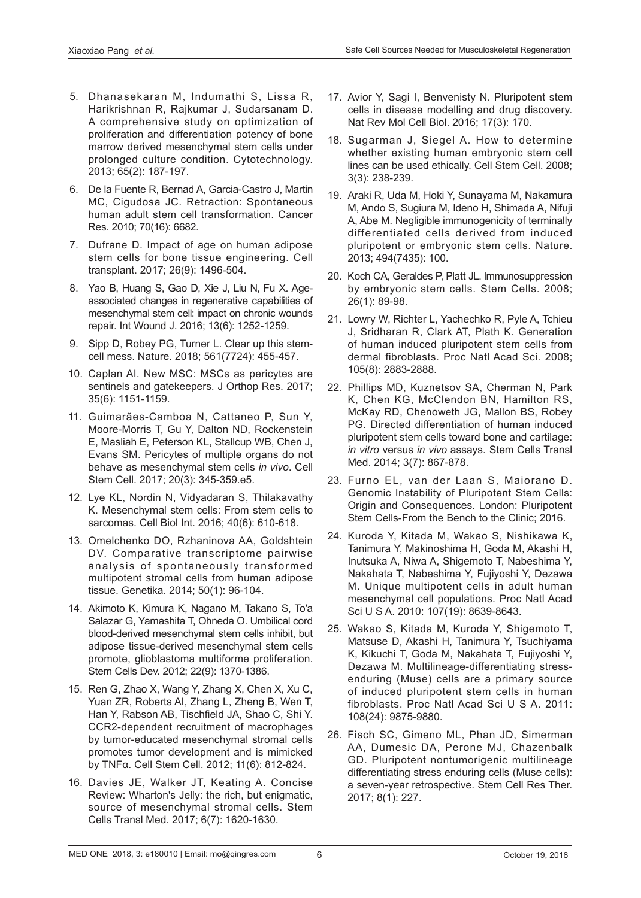- 5. Dhanasekaran M, Indumathi S, Lissa R, Harikrishnan R, Rajkumar J, Sudarsanam D. A comprehensive study on optimization of proliferation and differentiation potency of bone marrow derived mesenchymal stem cells under prolonged culture condition. Cytotechnology. 2013; 65(2): 187-197.
- 6. De la Fuente R, Bernad A, Garcia-Castro J, Martin MC, Cigudosa JC. Retraction: Spontaneous human adult stem cell transformation. Cancer Res. 2010; 70(16): 6682.
- 7. Dufrane D. Impact of age on human adipose stem cells for bone tissue engineering. Cell transplant. 2017; 26(9): 1496-504.
- 8. Yao B, Huang S, Gao D, Xie J, Liu N, Fu X. Ageassociated changes in regenerative capabilities of mesenchymal stem cell: impact on chronic wounds repair. Int Wound J. 2016; 13(6): 1252-1259.
- 9. Sipp D, Robey PG, Turner L. Clear up this stemcell mess. Nature. 2018; 561(7724): 455-457.
- 10. Caplan AI. New MSC: MSCs as pericytes are sentinels and gatekeepers. J Orthop Res. 2017; 35(6): 1151-1159.
- 11. Guimarães-Camboa N, Cattaneo P, Sun Y, Moore-Morris T, Gu Y, Dalton ND, Rockenstein E, Masliah E, Peterson KL, Stallcup WB, Chen J, Evans SM. Pericytes of multiple organs do not behave as mesenchymal stem cells *in vivo*. Cell Stem Cell. 2017; 20(3): 345-359.e5.
- 12. Lye KL, Nordin N, Vidyadaran S, Thilakavathy K. Mesenchymal stem cells: From stem cells to sarcomas. Cell Biol Int. 2016; 40(6): 610-618.
- 13. Omelchenko DO, Rzhaninova AA, Goldshtein DV. Comparative transcriptome pairwise analysis of spontaneously transformed multipotent stromal cells from human adipose tissue. Genetika. 2014; 50(1): 96-104.
- 14. Akimoto K, Kimura K, Nagano M, Takano S, To'a Salazar G, Yamashita T, Ohneda O. Umbilical cord blood-derived mesenchymal stem cells inhibit, but adipose tissue-derived mesenchymal stem cells promote, glioblastoma multiforme proliferation. Stem Cells Dev. 2012; 22(9): 1370-1386.
- 15. Ren G, Zhao X, Wang Y, Zhang X, Chen X, Xu C, Yuan ZR, Roberts AI, Zhang L, Zheng B, Wen T, Han Y, Rabson AB, Tischfield JA, Shao C, Shi Y. CCR2-dependent recruitment of macrophages by tumor-educated mesenchymal stromal cells promotes tumor development and is mimicked by TNFα. Cell Stem Cell. 2012; 11(6): 812-824.
- 16. Davies JE, Walker JT, Keating A. Concise Review: Wharton's Jelly: the rich, but enigmatic, source of mesenchymal stromal cells. Stem Cells Transl Med. 2017; 6(7): 1620-1630.
- 17. Avior Y, Sagi I, Benvenisty N. Pluripotent stem cells in disease modelling and drug discovery. Nat Rev Mol Cell Biol. 2016; 17(3): 170.
- 18. Sugarman J, Siegel A. How to determine whether existing human embryonic stem cell lines can be used ethically. Cell Stem Cell. 2008; 3(3): 238-239.
- 19. Araki R, Uda M, Hoki Y, Sunayama M, Nakamura M, Ando S, Sugiura M, Ideno H, Shimada A, Nifuji A, Abe M. Negligible immunogenicity of terminally differentiated cells derived from induced pluripotent or embryonic stem cells. Nature. 2013; 494(7435): 100.
- 20. Koch CA, Geraldes P, Platt JL. Immunosuppression by embryonic stem cells. Stem Cells. 2008; 26(1): 89-98.
- 21. Lowry W, Richter L, Yachechko R, Pyle A, Tchieu J, Sridharan R, Clark AT, Plath K. Generation of human induced pluripotent stem cells from dermal fibroblasts. Proc Natl Acad Sci. 2008; 105(8): 2883-2888.
- 22. Phillips MD, Kuznetsov SA, Cherman N, Park K, Chen KG, McClendon BN, Hamilton RS, McKay RD, Chenoweth JG, Mallon BS, Robey PG. Directed differentiation of human induced pluripotent stem cells toward bone and cartilage: *in vitro* versus *in vivo* assays. Stem Cells Transl Med. 2014; 3(7): 867-878.
- 23. Furno EL, van der Laan S, Maiorano D. Genomic Instability of Pluripotent Stem Cells: Origin and Consequences. London: Pluripotent Stem Cells-From the Bench to the Clinic; 2016.
- 24. Kuroda Y, Kitada M, Wakao S, Nishikawa K, Tanimura Y, Makinoshima H, Goda M, Akashi H, Inutsuka A, Niwa A, Shigemoto T, Nabeshima Y, Nakahata T, Nabeshima Y, Fujiyoshi Y, Dezawa M. Unique multipotent cells in adult human mesenchymal cell populations. Proc Natl Acad Sci U S A. 2010: 107(19): 8639-8643.
- 25. Wakao S, Kitada M, Kuroda Y, Shigemoto T, Matsuse D, Akashi H, Tanimura Y, Tsuchiyama K, Kikuchi T, Goda M, Nakahata T, Fujiyoshi Y, Dezawa M. Multilineage-differentiating stressenduring (Muse) cells are a primary source of induced pluripotent stem cells in human fibroblasts. Proc Natl Acad Sci U S A. 2011: 108(24): 9875-9880.
- 26. Fisch SC, Gimeno ML, Phan JD, Simerman AA, Dumesic DA, Perone MJ, Chazenbalk GD. Pluripotent nontumorigenic multilineage differentiating stress enduring cells (Muse cells): a seven-year retrospective. Stem Cell Res Ther. 2017; 8(1): 227.